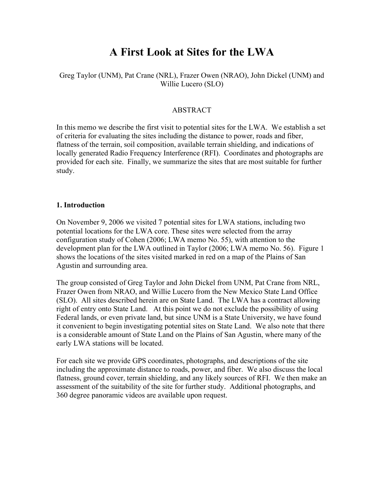# **A First Look at Sites for the LWA**

#### Greg Taylor (UNM), Pat Crane (NRL), Frazer Owen (NRAO), John Dickel (UNM) and Willie Lucero (SLO)

#### ABSTRACT

In this memo we describe the first visit to potential sites for the LWA. We establish a set of criteria for evaluating the sites including the distance to power, roads and fiber, flatness of the terrain, soil composition, available terrain shielding, and indications of locally generated Radio Frequency Interference (RFI). Coordinates and photographs are provided for each site. Finally, we summarize the sites that are most suitable for further study.

#### **1. Introduction**

On November 9, 2006 we visited 7 potential sites for LWA stations, including two potential locations for the LWA core. These sites were selected from the array configuration study of Cohen (2006; LWA memo No. 55), with attention to the development plan for the LWA outlined in Taylor (2006; LWA memo No. 56). Figure 1 shows the locations of the sites visited marked in red on a map of the Plains of San Agustin and surrounding area.

The group consisted of Greg Taylor and John Dickel from UNM, Pat Crane from NRL, Frazer Owen from NRAO, and Willie Lucero from the New Mexico State Land Office (SLO). All sites described herein are on State Land. The LWA has a contract allowing right of entry onto State Land. At this point we do not exclude the possibility of using Federal lands, or even private land, but since UNM is a State University, we have found it convenient to begin investigating potential sites on State Land. We also note that there is a considerable amount of State Land on the Plains of San Agustin, where many of the early LWA stations will be located.

For each site we provide GPS coordinates, photographs, and descriptions of the site including the approximate distance to roads, power, and fiber. We also discuss the local flatness, ground cover, terrain shielding, and any likely sources of RFI. We then make an assessment of the suitability of the site for further study. Additional photographs, and 360 degree panoramic videos are available upon request.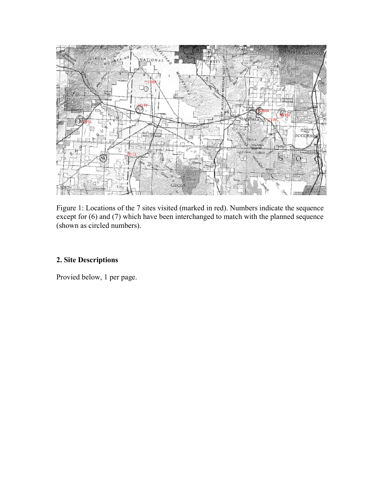

Figure 1: Locations of the 7 sites visited (marked in red). Numbers indicate the sequence except for (6) and (7) which have been interchanged to match with the planned sequence (shown as circled numbers).

## **2. Site Descriptions**

Provied below, 1 per page.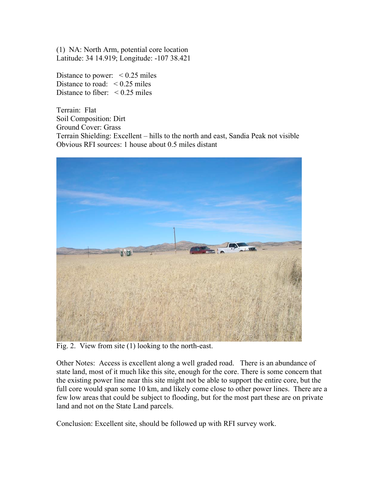(1) NA: North Arm, potential core location Latitude: 34 14.919; Longitude: -107 38.421

Distance to power:  $\leq 0.25$  miles Distance to road:  $\leq 0.25$  miles Distance to fiber:  $\leq 0.25$  miles

Terrain: Flat Soil Composition: Dirt Ground Cover: Grass Terrain Shielding: Excellent – hills to the north and east, Sandia Peak not visible Obvious RFI sources: 1 house about 0.5 miles distant



Fig. 2. View from site (1) looking to the north-east.

Other Notes: Access is excellent along a well graded road. There is an abundance of state land, most of it much like this site, enough for the core. There is some concern that the existing power line near this site might not be able to support the entire core, but the full core would span some 10 km, and likely come close to other power lines. There are a few low areas that could be subject to flooding, but for the most part these are on private land and not on the State Land parcels.

Conclusion: Excellent site, should be followed up with RFI survey work.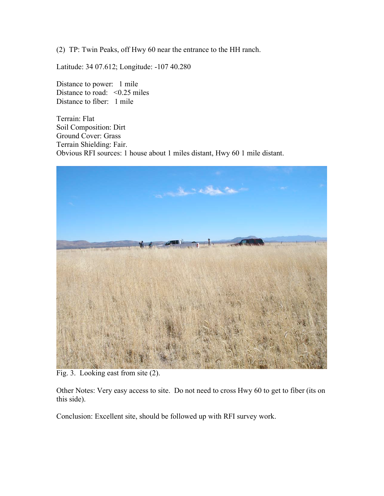(2) TP: Twin Peaks, off Hwy 60 near the entrance to the HH ranch.

Latitude: 34 07.612; Longitude: -107 40.280

Distance to power: 1 mile Distance to road:  $< 0.25$  miles Distance to fiber: 1 mile

Terrain: Flat Soil Composition: Dirt Ground Cover: Grass Terrain Shielding: Fair. Obvious RFI sources: 1 house about 1 miles distant, Hwy 60 1 mile distant.



Fig. 3. Looking east from site (2).

Other Notes: Very easy access to site. Do not need to cross Hwy 60 to get to fiber (its on this side).

Conclusion: Excellent site, should be followed up with RFI survey work.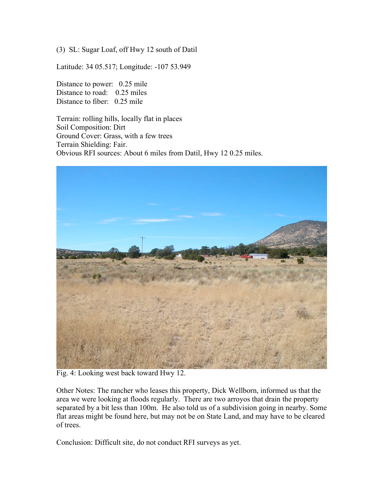(3) SL: Sugar Loaf, off Hwy 12 south of Datil

Latitude: 34 05.517; Longitude: -107 53.949

Distance to power: 0.25 mile Distance to road: 0.25 miles Distance to fiber: 0.25 mile

Terrain: rolling hills, locally flat in places Soil Composition: Dirt Ground Cover: Grass, with a few trees Terrain Shielding: Fair. Obvious RFI sources: About 6 miles from Datil, Hwy 12 0.25 miles.



Fig. 4: Looking west back toward Hwy 12.

Other Notes: The rancher who leases this property, Dick Wellborn, informed us that the area we were looking at floods regularly. There are two arroyos that drain the property separated by a bit less than 100m. He also told us of a subdivision going in nearby. Some flat areas might be found here, but may not be on State Land, and may have to be cleared of trees.

Conclusion: Difficult site, do not conduct RFI surveys as yet.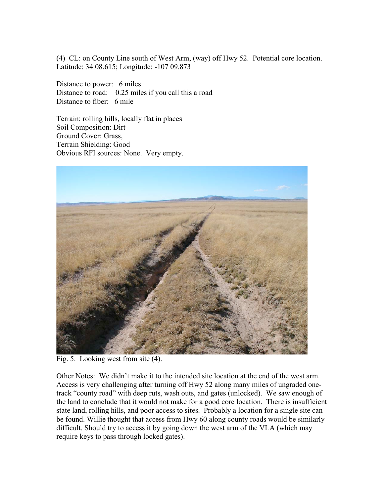(4) CL: on County Line south of West Arm, (way) off Hwy 52. Potential core location. Latitude: 34 08.615; Longitude: -107 09.873

Distance to power: 6 miles Distance to road: 0.25 miles if you call this a road Distance to fiber: 6 mile

Terrain: rolling hills, locally flat in places Soil Composition: Dirt Ground Cover: Grass, Terrain Shielding: Good Obvious RFI sources: None. Very empty.



Fig. 5. Looking west from site (4).

Other Notes: We didn't make it to the intended site location at the end of the west arm. Access is very challenging after turning off Hwy 52 along many miles of ungraded onetrack "county road" with deep ruts, wash outs, and gates (unlocked). We saw enough of the land to conclude that it would not make for a good core location. There is insufficient state land, rolling hills, and poor access to sites. Probably a location for a single site can be found. Willie thought that access from Hwy 60 along county roads would be similarly difficult. Should try to access it by going down the west arm of the VLA (which may require keys to pass through locked gates).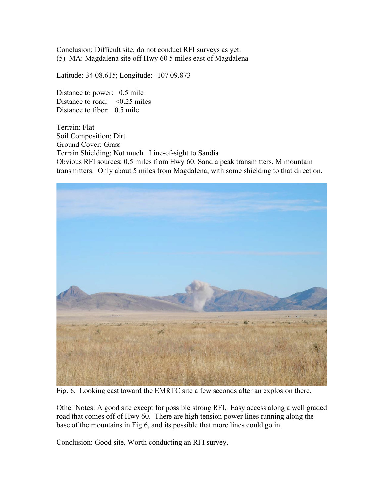Conclusion: Difficult site, do not conduct RFI surveys as yet. (5) MA: Magdalena site off Hwy 60 5 miles east of Magdalena

Latitude: 34 08.615; Longitude: -107 09.873

Distance to power: 0.5 mile Distance to road:  $\leq 0.25$  miles Distance to fiber: 0.5 mile

Terrain: Flat Soil Composition: Dirt Ground Cover: Grass Terrain Shielding: Not much. Line-of-sight to Sandia Obvious RFI sources: 0.5 miles from Hwy 60. Sandia peak transmitters, M mountain transmitters. Only about 5 miles from Magdalena, with some shielding to that direction.



Fig. 6. Looking east toward the EMRTC site a few seconds after an explosion there.

Other Notes: A good site except for possible strong RFI. Easy access along a well graded road that comes off of Hwy 60. There are high tension power lines running along the base of the mountains in Fig 6, and its possible that more lines could go in.

Conclusion: Good site. Worth conducting an RFI survey.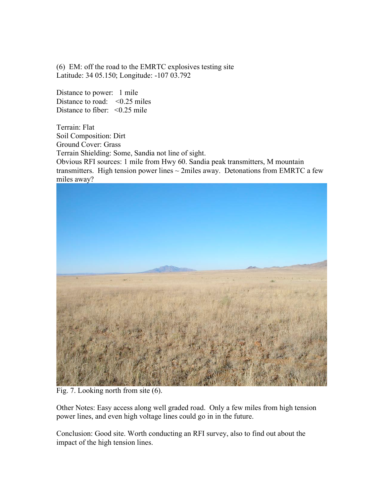(6) EM: off the road to the EMRTC explosives testing site Latitude: 34 05.150; Longitude: -107 03.792

Distance to power: 1 mile Distance to road:  $\leq 0.25$  miles Distance to fiber:  $\leq 0.25$  mile

Terrain: Flat Soil Composition: Dirt Ground Cover: Grass Terrain Shielding: Some, Sandia not line of sight. Obvious RFI sources: 1 mile from Hwy 60. Sandia peak transmitters, M mountain transmitters. High tension power lines  $\sim$  2miles away. Detonations from EMRTC a few miles away?



Fig. 7. Looking north from site (6).

Other Notes: Easy access along well graded road. Only a few miles from high tension power lines, and even high voltage lines could go in in the future.

Conclusion: Good site. Worth conducting an RFI survey, also to find out about the impact of the high tension lines.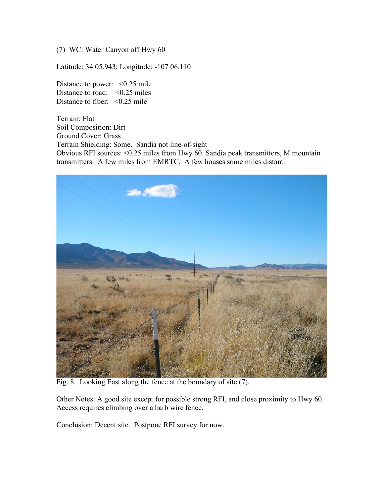(7) WC: Water Canyon off Hwy 60

Latitude: 34 05.943; Longitude: -107 06.110

Distance to power:  $\leq 0.25$  mile Distance to road:  $\leq 0.25$  miles Distance to fiber:  $\leq 0.25$  mile

Terrain: Flat Soil Composition: Dirt Ground Cover: Grass Terrain Shielding: Some. Sandia not line-of-sight Obvious RFI sources: <0.25 miles from Hwy 60. Sandia peak transmitters, M mountain transmitters. A few miles from EMRTC. A few houses some miles distant.



Fig. 8. Looking East along the fence at the boundary of site (7).

Other Notes: A good site except for possible strong RFI, and close proximity to Hwy 60. Access requires climbing over a barb wire fence.

Conclusion: Decent site. Postpone RFI survey for now.